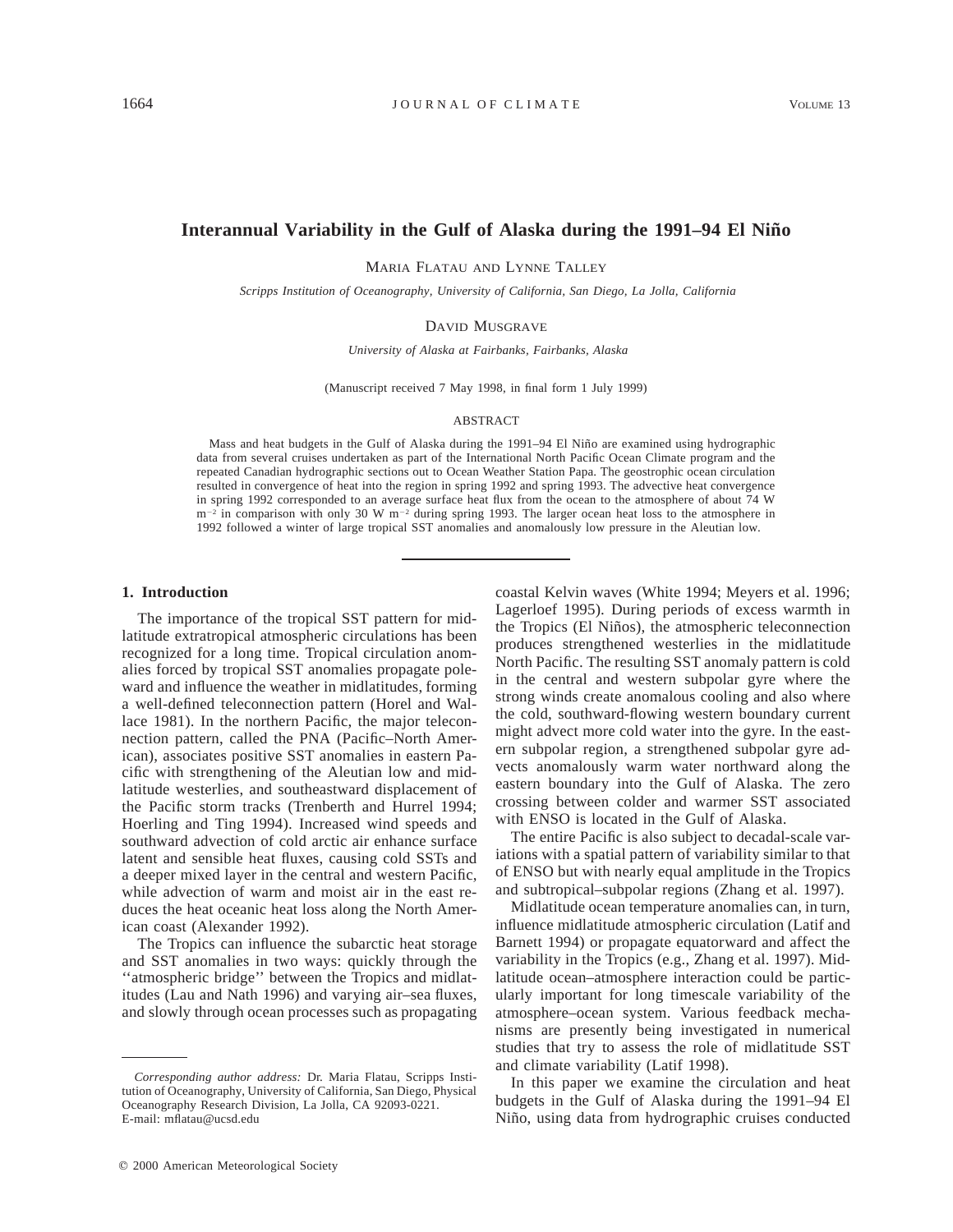# **Interannual Variability in the Gulf of Alaska during the 1991–94 El Nin˜o**

MARIA FLATAU AND LYNNE TALLEY

*Scripps Institution of Oceanography, University of California, San Diego, La Jolla, California*

### DAVID MUSGRAVE

*University of Alaska at Fairbanks, Fairbanks, Alaska*

(Manuscript received 7 May 1998, in final form 1 July 1999)

#### ABSTRACT

Mass and heat budgets in the Gulf of Alaska during the 1991–94 El Niño are examined using hydrographic data from several cruises undertaken as part of the International North Pacific Ocean Climate program and the repeated Canadian hydrographic sections out to Ocean Weather Station Papa. The geostrophic ocean circulation resulted in convergence of heat into the region in spring 1992 and spring 1993. The advective heat convergence in spring 1992 corresponded to an average surface heat flux from the ocean to the atmosphere of about 74 W  $m^{-2}$  in comparison with only 30 W  $m^{-2}$  during spring 1993. The larger ocean heat loss to the atmosphere in 1992 followed a winter of large tropical SST anomalies and anomalously low pressure in the Aleutian low.

### **1. Introduction**

The importance of the tropical SST pattern for midlatitude extratropical atmospheric circulations has been recognized for a long time. Tropical circulation anomalies forced by tropical SST anomalies propagate poleward and influence the weather in midlatitudes, forming a well-defined teleconnection pattern (Horel and Wallace 1981). In the northern Pacific, the major teleconnection pattern, called the PNA (Pacific–North American), associates positive SST anomalies in eastern Pacific with strengthening of the Aleutian low and midlatitude westerlies, and southeastward displacement of the Pacific storm tracks (Trenberth and Hurrel 1994; Hoerling and Ting 1994). Increased wind speeds and southward advection of cold arctic air enhance surface latent and sensible heat fluxes, causing cold SSTs and a deeper mixed layer in the central and western Pacific, while advection of warm and moist air in the east reduces the heat oceanic heat loss along the North American coast (Alexander 1992).

The Tropics can influence the subarctic heat storage and SST anomalies in two ways: quickly through the ''atmospheric bridge'' between the Tropics and midlatitudes (Lau and Nath 1996) and varying air–sea fluxes, and slowly through ocean processes such as propagating

 $Q$  2000 American Meteorological Society

coastal Kelvin waves (White 1994; Meyers et al. 1996; Lagerloef 1995). During periods of excess warmth in the Tropics (El Niños), the atmospheric teleconnection produces strengthened westerlies in the midlatitude North Pacific. The resulting SST anomaly pattern is cold in the central and western subpolar gyre where the strong winds create anomalous cooling and also where the cold, southward-flowing western boundary current might advect more cold water into the gyre. In the eastern subpolar region, a strengthened subpolar gyre advects anomalously warm water northward along the eastern boundary into the Gulf of Alaska. The zero crossing between colder and warmer SST associated with ENSO is located in the Gulf of Alaska.

The entire Pacific is also subject to decadal-scale variations with a spatial pattern of variability similar to that of ENSO but with nearly equal amplitude in the Tropics and subtropical–subpolar regions (Zhang et al. 1997).

Midlatitude ocean temperature anomalies can, in turn, influence midlatitude atmospheric circulation (Latif and Barnett 1994) or propagate equatorward and affect the variability in the Tropics (e.g., Zhang et al. 1997). Midlatitude ocean–atmosphere interaction could be particularly important for long timescale variability of the atmosphere–ocean system. Various feedback mechanisms are presently being investigated in numerical studies that try to assess the role of midlatitude SST and climate variability (Latif 1998).

In this paper we examine the circulation and heat budgets in the Gulf of Alaska during the 1991–94 El Niño, using data from hydrographic cruises conducted

*Corresponding author address:* Dr. Maria Flatau, Scripps Institution of Oceanography, University of California, San Diego, Physical Oceanography Research Division, La Jolla, CA 92093-0221. E-mail: mflatau@ucsd.edu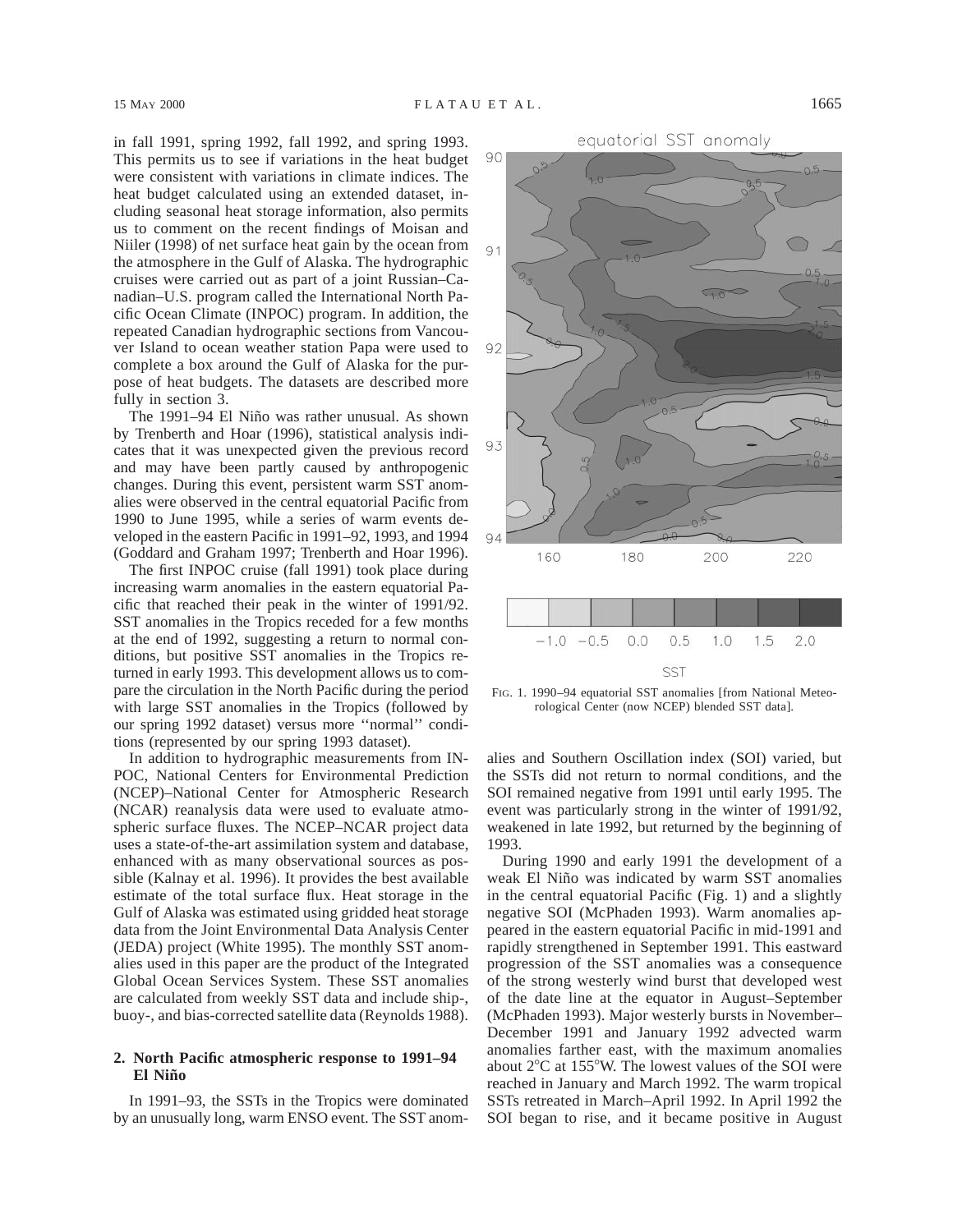in fall 1991, spring 1992, fall 1992, and spring 1993. This permits us to see if variations in the heat budget were consistent with variations in climate indices. The heat budget calculated using an extended dataset, including seasonal heat storage information, also permits us to comment on the recent findings of Moisan and Niiler (1998) of net surface heat gain by the ocean from the atmosphere in the Gulf of Alaska. The hydrographic cruises were carried out as part of a joint Russian–Canadian–U.S. program called the International North Pacific Ocean Climate (INPOC) program. In addition, the repeated Canadian hydrographic sections from Vancouver Island to ocean weather station Papa were used to complete a box around the Gulf of Alaska for the purpose of heat budgets. The datasets are described more fully in section 3.

The 1991–94 El Niño was rather unusual. As shown by Trenberth and Hoar (1996), statistical analysis indicates that it was unexpected given the previous record and may have been partly caused by anthropogenic changes. During this event, persistent warm SST anomalies were observed in the central equatorial Pacific from 1990 to June 1995, while a series of warm events developed in the eastern Pacific in 1991–92, 1993, and 1994 (Goddard and Graham 1997; Trenberth and Hoar 1996).

The first INPOC cruise (fall 1991) took place during increasing warm anomalies in the eastern equatorial Pacific that reached their peak in the winter of 1991/92. SST anomalies in the Tropics receded for a few months at the end of 1992, suggesting a return to normal conditions, but positive SST anomalies in the Tropics returned in early 1993. This development allows us to compare the circulation in the North Pacific during the period with large SST anomalies in the Tropics (followed by our spring 1992 dataset) versus more ''normal'' conditions (represented by our spring 1993 dataset).

In addition to hydrographic measurements from IN-POC, National Centers for Environmental Prediction (NCEP)–National Center for Atmospheric Research (NCAR) reanalysis data were used to evaluate atmospheric surface fluxes. The NCEP–NCAR project data uses a state-of-the-art assimilation system and database, enhanced with as many observational sources as possible (Kalnay et al. 1996). It provides the best available estimate of the total surface flux. Heat storage in the Gulf of Alaska was estimated using gridded heat storage data from the Joint Environmental Data Analysis Center (JEDA) project (White 1995). The monthly SST anomalies used in this paper are the product of the Integrated Global Ocean Services System. These SST anomalies are calculated from weekly SST data and include ship-, buoy-, and bias-corrected satellite data (Reynolds 1988).

### **2. North Pacific atmospheric response to 1991–94 El Nin˜o**

In 1991–93, the SSTs in the Tropics were dominated by an unusually long, warm ENSO event. The SST anom-



FIG. 1. 1990–94 equatorial SST anomalies [from National Meteorological Center (now NCEP) blended SST data].

alies and Southern Oscillation index (SOI) varied, but the SSTs did not return to normal conditions, and the SOI remained negative from 1991 until early 1995. The event was particularly strong in the winter of 1991/92, weakened in late 1992, but returned by the beginning of 1993.

During 1990 and early 1991 the development of a weak El Niño was indicated by warm SST anomalies in the central equatorial Pacific (Fig. 1) and a slightly negative SOI (McPhaden 1993). Warm anomalies appeared in the eastern equatorial Pacific in mid-1991 and rapidly strengthened in September 1991. This eastward progression of the SST anomalies was a consequence of the strong westerly wind burst that developed west of the date line at the equator in August–September (McPhaden 1993). Major westerly bursts in November– December 1991 and January 1992 advected warm anomalies farther east, with the maximum anomalies about  $2^{\circ}$ C at 155°W. The lowest values of the SOI were reached in January and March 1992. The warm tropical SSTs retreated in March–April 1992. In April 1992 the SOI began to rise, and it became positive in August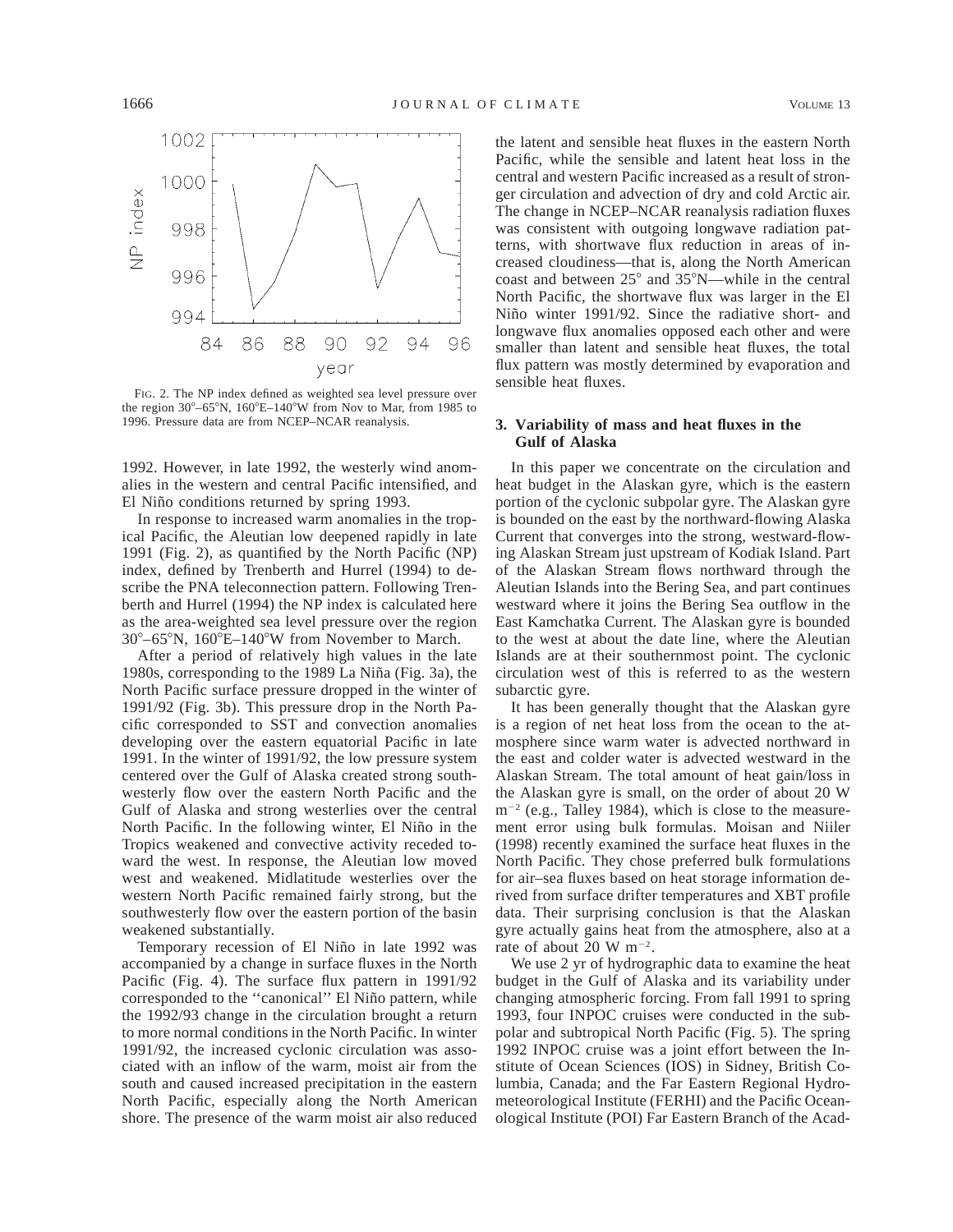

FIG. 2. The NP index defined as weighted sea level pressure over the region  $30^{\circ} - 65^{\circ}$ N,  $160^{\circ}$ E $-140^{\circ}$ W from Nov to Mar, from 1985 to 1996. Pressure data are from NCEP–NCAR reanalysis.

1992. However, in late 1992, the westerly wind anomalies in the western and central Pacific intensified, and El Niño conditions returned by spring 1993.

In response to increased warm anomalies in the tropical Pacific, the Aleutian low deepened rapidly in late 1991 (Fig. 2), as quantified by the North Pacific (NP) index, defined by Trenberth and Hurrel (1994) to describe the PNA teleconnection pattern. Following Trenberth and Hurrel (1994) the NP index is calculated here as the area-weighted sea level pressure over the region  $30^{\circ}$ –65°N, 160°E–140°W from November to March.

After a period of relatively high values in the late 1980s, corresponding to the 1989 La Niña (Fig. 3a), the North Pacific surface pressure dropped in the winter of 1991/92 (Fig. 3b). This pressure drop in the North Pacific corresponded to SST and convection anomalies developing over the eastern equatorial Pacific in late 1991. In the winter of 1991/92, the low pressure system centered over the Gulf of Alaska created strong southwesterly flow over the eastern North Pacific and the Gulf of Alaska and strong westerlies over the central North Pacific. In the following winter, El Niño in the Tropics weakened and convective activity receded toward the west. In response, the Aleutian low moved west and weakened. Midlatitude westerlies over the western North Pacific remained fairly strong, but the southwesterly flow over the eastern portion of the basin weakened substantially.

Temporary recession of El Niño in late 1992 was accompanied by a change in surface fluxes in the North Pacific (Fig. 4). The surface flux pattern in 1991/92 corresponded to the "canonical" El Niño pattern, while the 1992/93 change in the circulation brought a return to more normal conditions in the North Pacific. In winter 1991/92, the increased cyclonic circulation was associated with an inflow of the warm, moist air from the south and caused increased precipitation in the eastern North Pacific, especially along the North American shore. The presence of the warm moist air also reduced the latent and sensible heat fluxes in the eastern North Pacific, while the sensible and latent heat loss in the central and western Pacific increased as a result of stronger circulation and advection of dry and cold Arctic air. The change in NCEP–NCAR reanalysis radiation fluxes was consistent with outgoing longwave radiation patterns, with shortwave flux reduction in areas of increased cloudiness—that is, along the North American coast and between  $25^{\circ}$  and  $35^{\circ}$ N—while in the central North Pacific, the shortwave flux was larger in the El Niño winter 1991/92. Since the radiative short- and longwave flux anomalies opposed each other and were smaller than latent and sensible heat fluxes, the total flux pattern was mostly determined by evaporation and sensible heat fluxes.

## **3. Variability of mass and heat fluxes in the Gulf of Alaska**

In this paper we concentrate on the circulation and heat budget in the Alaskan gyre, which is the eastern portion of the cyclonic subpolar gyre. The Alaskan gyre is bounded on the east by the northward-flowing Alaska Current that converges into the strong, westward-flowing Alaskan Stream just upstream of Kodiak Island. Part of the Alaskan Stream flows northward through the Aleutian Islands into the Bering Sea, and part continues westward where it joins the Bering Sea outflow in the East Kamchatka Current. The Alaskan gyre is bounded to the west at about the date line, where the Aleutian Islands are at their southernmost point. The cyclonic circulation west of this is referred to as the western subarctic gyre.

It has been generally thought that the Alaskan gyre is a region of net heat loss from the ocean to the atmosphere since warm water is advected northward in the east and colder water is advected westward in the Alaskan Stream. The total amount of heat gain/loss in the Alaskan gyre is small, on the order of about 20 W  $m^{-2}$  (e.g., Talley 1984), which is close to the measurement error using bulk formulas. Moisan and Niiler (1998) recently examined the surface heat fluxes in the North Pacific. They chose preferred bulk formulations for air–sea fluxes based on heat storage information derived from surface drifter temperatures and XBT profile data. Their surprising conclusion is that the Alaskan gyre actually gains heat from the atmosphere, also at a rate of about 20 W  $\mathrm{m}^{-2}$ .

We use 2 yr of hydrographic data to examine the heat budget in the Gulf of Alaska and its variability under changing atmospheric forcing. From fall 1991 to spring 1993, four INPOC cruises were conducted in the subpolar and subtropical North Pacific (Fig. 5). The spring 1992 INPOC cruise was a joint effort between the Institute of Ocean Sciences (IOS) in Sidney, British Columbia, Canada; and the Far Eastern Regional Hydrometeorological Institute (FERHI) and the Pacific Oceanological Institute (POI) Far Eastern Branch of the Acad-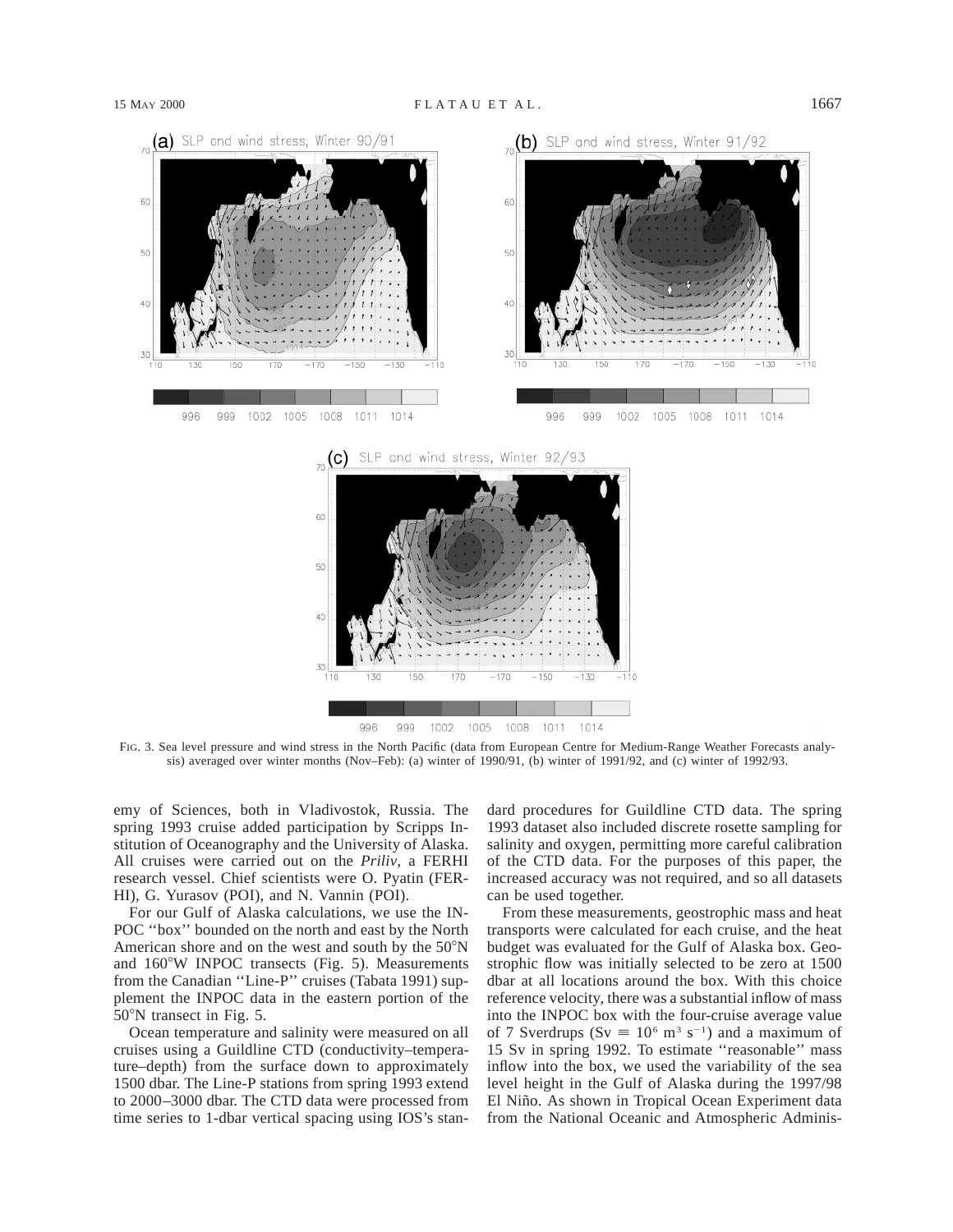

999 1008 1011 1014 996 1002 1005

FIG. 3. Sea level pressure and wind stress in the North Pacific (data from European Centre for Medium-Range Weather Forecasts analysis) averaged over winter months (Nov–Feb): (a) winter of 1990/91, (b) winter of 1991/92, and (c) winter of 1992/93.

emy of Sciences, both in Vladivostok, Russia. The spring 1993 cruise added participation by Scripps Institution of Oceanography and the University of Alaska. All cruises were carried out on the *Priliv,* a FERHI research vessel. Chief scientists were O. Pyatin (FER-HI), G. Yurasov (POI), and N. Vannin (POI).

For our Gulf of Alaska calculations, we use the IN-POC ''box'' bounded on the north and east by the North American shore and on the west and south by the  $50^{\circ}$ N and  $160^{\circ}$ W INPOC transects (Fig. 5). Measurements from the Canadian ''Line-P'' cruises (Tabata 1991) supplement the INPOC data in the eastern portion of the 50°N transect in Fig. 5.

Ocean temperature and salinity were measured on all cruises using a Guildline CTD (conductivity–temperature–depth) from the surface down to approximately 1500 dbar. The Line-P stations from spring 1993 extend to 2000–3000 dbar. The CTD data were processed from time series to 1-dbar vertical spacing using IOS's standard procedures for Guildline CTD data. The spring 1993 dataset also included discrete rosette sampling for salinity and oxygen, permitting more careful calibration of the CTD data. For the purposes of this paper, the increased accuracy was not required, and so all datasets can be used together.

From these measurements, geostrophic mass and heat transports were calculated for each cruise, and the heat budget was evaluated for the Gulf of Alaska box. Geostrophic flow was initially selected to be zero at 1500 dbar at all locations around the box. With this choice reference velocity, there was a substantial inflow of mass into the INPOC box with the four-cruise average value of 7 Sverdrups (Sv  $\equiv 10^6$  m<sup>3</sup> s<sup>-1</sup>) and a maximum of 15 Sv in spring 1992. To estimate ''reasonable'' mass inflow into the box, we used the variability of the sea level height in the Gulf of Alaska during the 1997/98 El Niño. As shown in Tropical Ocean Experiment data from the National Oceanic and Atmospheric Adminis-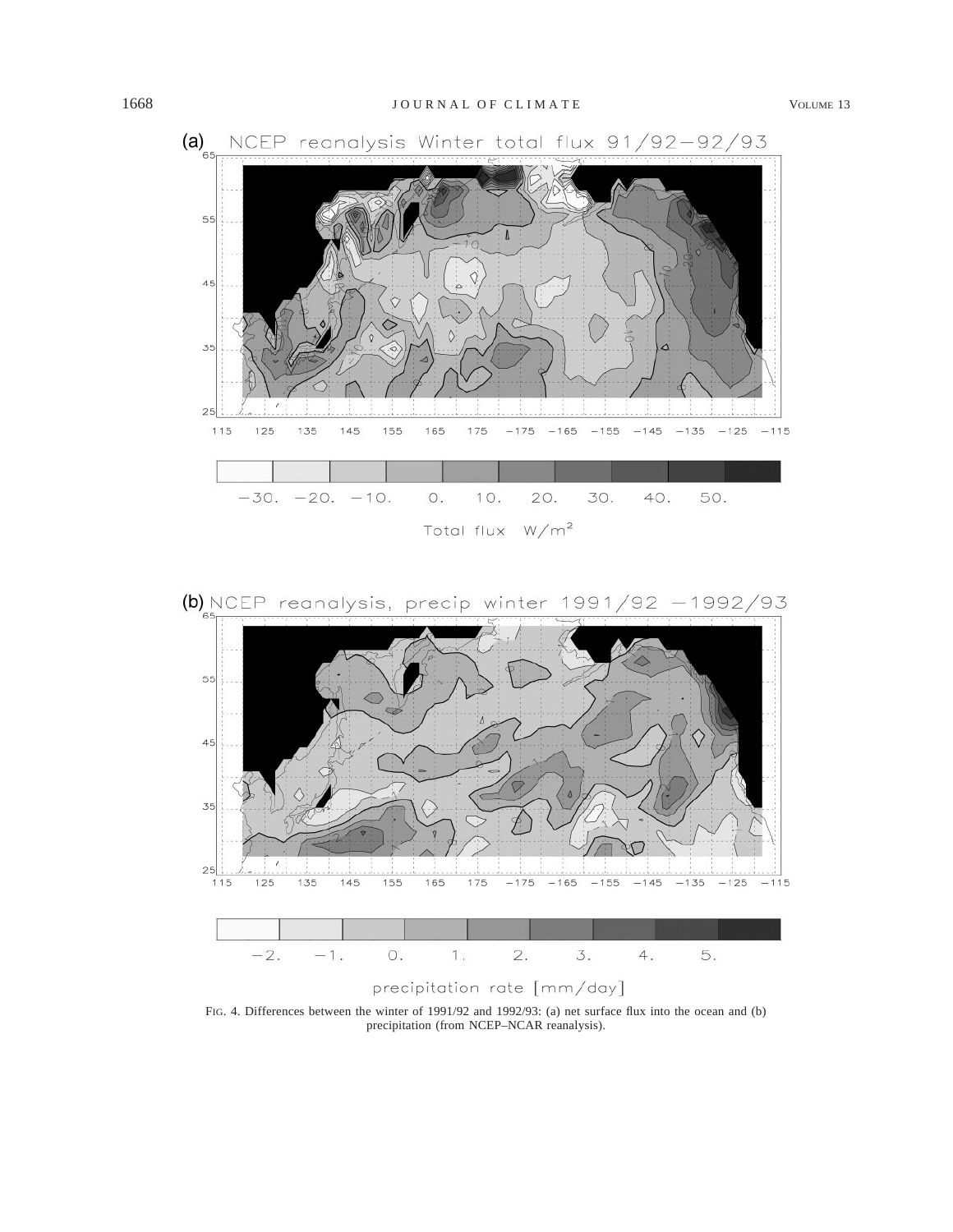



FIG. 4. Differences between the winter of 1991/92 and 1992/93: (a) net surface flux into the ocean and (b) precipitation (from NCEP–NCAR reanalysis).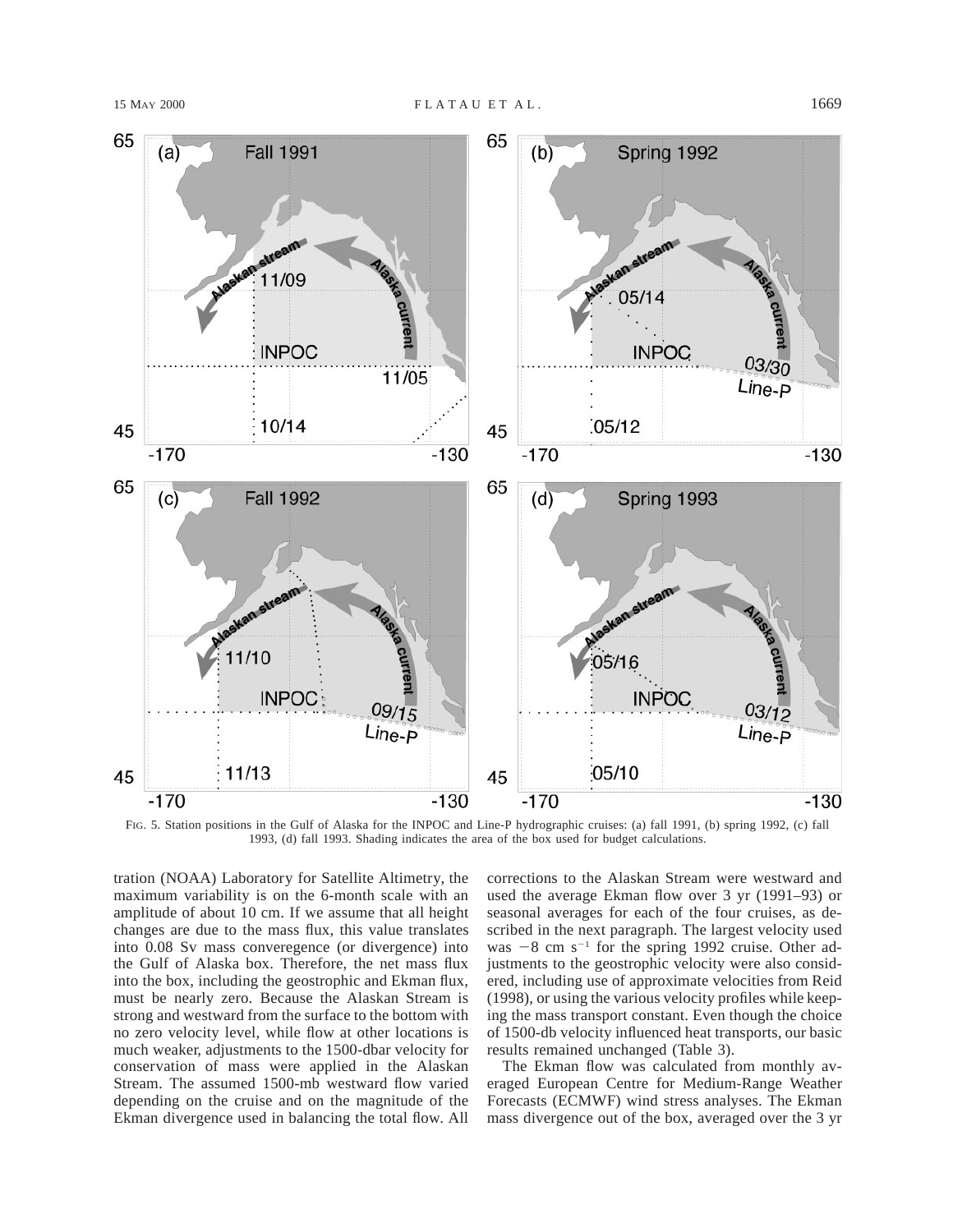

FIG. 5. Station positions in the Gulf of Alaska for the INPOC and Line-P hydrographic cruises: (a) fall 1991, (b) spring 1992, (c) fall 1993, (d) fall 1993. Shading indicates the area of the box used for budget calculations.

tration (NOAA) Laboratory for Satellite Altimetry, the maximum variability is on the 6-month scale with an amplitude of about 10 cm. If we assume that all height changes are due to the mass flux, this value translates into 0.08 Sv mass converegence (or divergence) into the Gulf of Alaska box. Therefore, the net mass flux into the box, including the geostrophic and Ekman flux, must be nearly zero. Because the Alaskan Stream is strong and westward from the surface to the bottom with no zero velocity level, while flow at other locations is much weaker, adjustments to the 1500-dbar velocity for conservation of mass were applied in the Alaskan Stream. The assumed 1500-mb westward flow varied depending on the cruise and on the magnitude of the Ekman divergence used in balancing the total flow. All corrections to the Alaskan Stream were westward and used the average Ekman flow over 3 yr (1991–93) or seasonal averages for each of the four cruises, as described in the next paragraph. The largest velocity used was  $-8$  cm s<sup>-1</sup> for the spring 1992 cruise. Other adjustments to the geostrophic velocity were also considered, including use of approximate velocities from Reid (1998), or using the various velocity profiles while keeping the mass transport constant. Even though the choice of 1500-db velocity influenced heat transports, our basic results remained unchanged (Table 3).

The Ekman flow was calculated from monthly averaged European Centre for Medium-Range Weather Forecasts (ECMWF) wind stress analyses. The Ekman mass divergence out of the box, averaged over the 3 yr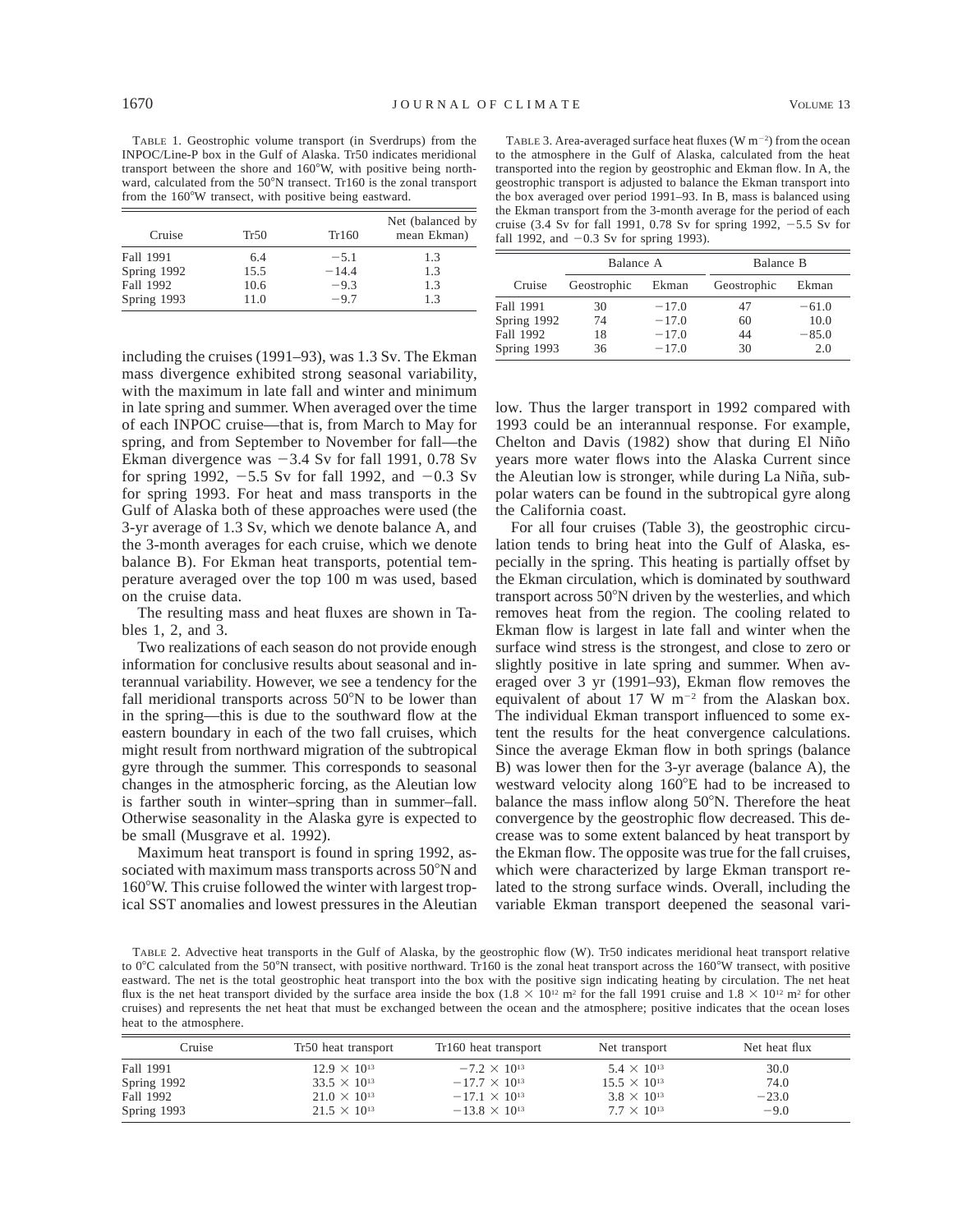TABLE 1. Geostrophic volume transport (in Sverdrups) from the INPOC/Line-P box in the Gulf of Alaska. Tr50 indicates meridional transport between the shore and  $160^{\circ}$ W, with positive being northward, calculated from the  $50^{\circ}$ N transect. Tr160 is the zonal transport from the 160°W transect, with positive being eastward.

| Cruise      | Tr50 | Tr160   | Net (balanced by<br>mean Ekman) |
|-------------|------|---------|---------------------------------|
| Fall 1991   | 6.4  | $-5.1$  | 1.3                             |
| Spring 1992 | 15.5 | $-14.4$ | 1.3                             |
| Fall 1992   | 10.6 | $-9.3$  | 1.3                             |
| Spring 1993 | 11.0 | $-9.7$  | 13                              |

TABLE 3. Area-averaged surface heat fluxes ( $W$  m<sup>-2</sup>) from the ocean to the atmosphere in the Gulf of Alaska, calculated from the heat transported into the region by geostrophic and Ekman flow. In A, the geostrophic transport is adjusted to balance the Ekman transport into the box averaged over period 1991–93. In B, mass is balanced using the Ekman transport from the 3-month average for the period of each cruise (3.4 Sv for fall 1991, 0.78 Sv for spring 1992,  $-5.5$  Sv for fall 1992, and  $-0.3$  Sv for spring 1993).

|             | Balance A   |         | Balance B   |         |
|-------------|-------------|---------|-------------|---------|
| Cruise      | Geostrophic | Ekman   | Geostrophic | Ekman   |
| Fall 1991   | 30          | $-17.0$ | 47          | $-61.0$ |
| Spring 1992 | 74          | $-17.0$ | 60          | 10.0    |
| Fall 1992   | 18          | $-17.0$ | 44          | $-85.0$ |
| Spring 1993 | 36          | $-17.0$ | 30          | 2.0     |

including the cruises (1991–93), was 1.3 Sv. The Ekman mass divergence exhibited strong seasonal variability, with the maximum in late fall and winter and minimum in late spring and summer. When averaged over the time of each INPOC cruise—that is, from March to May for spring, and from September to November for fall—the Ekman divergence was  $-3.4$  Sv for fall 1991, 0.78 Sv for spring 1992,  $-5.5$  Sv for fall 1992, and  $-0.3$  Sv for spring 1993. For heat and mass transports in the Gulf of Alaska both of these approaches were used (the 3-yr average of 1.3 Sv, which we denote balance A, and the 3-month averages for each cruise, which we denote balance B). For Ekman heat transports, potential temperature averaged over the top 100 m was used, based on the cruise data.

The resulting mass and heat fluxes are shown in Tables 1, 2, and 3.

Two realizations of each season do not provide enough information for conclusive results about seasonal and interannual variability. However, we see a tendency for the fall meridional transports across  $50^{\circ}$ N to be lower than in the spring—this is due to the southward flow at the eastern boundary in each of the two fall cruises, which might result from northward migration of the subtropical gyre through the summer. This corresponds to seasonal changes in the atmospheric forcing, as the Aleutian low is farther south in winter–spring than in summer–fall. Otherwise seasonality in the Alaska gyre is expected to be small (Musgrave et al. 1992).

Maximum heat transport is found in spring 1992, associated with maximum mass transports across 50°N and 160°W. This cruise followed the winter with largest tropical SST anomalies and lowest pressures in the Aleutian low. Thus the larger transport in 1992 compared with 1993 could be an interannual response. For example, Chelton and Davis (1982) show that during El Niño years more water flows into the Alaska Current since the Aleutian low is stronger, while during La Niña, subpolar waters can be found in the subtropical gyre along the California coast.

For all four cruises (Table 3), the geostrophic circulation tends to bring heat into the Gulf of Alaska, especially in the spring. This heating is partially offset by the Ekman circulation, which is dominated by southward transport across 50°N driven by the westerlies, and which removes heat from the region. The cooling related to Ekman flow is largest in late fall and winter when the surface wind stress is the strongest, and close to zero or slightly positive in late spring and summer. When averaged over 3 yr (1991–93), Ekman flow removes the equivalent of about 17 W  $m^{-2}$  from the Alaskan box. The individual Ekman transport influenced to some extent the results for the heat convergence calculations. Since the average Ekman flow in both springs (balance B) was lower then for the 3-yr average (balance A), the westward velocity along 160°E had to be increased to balance the mass inflow along  $50^{\circ}$ N. Therefore the heat convergence by the geostrophic flow decreased. This decrease was to some extent balanced by heat transport by the Ekman flow. The opposite was true for the fall cruises, which were characterized by large Ekman transport related to the strong surface winds. Overall, including the variable Ekman transport deepened the seasonal vari-

TABLE 2. Advective heat transports in the Gulf of Alaska, by the geostrophic flow (W). Tr50 indicates meridional heat transport relative to 0 $\degree$ C calculated from the 50 $\degree$ N transect, with positive northward. Tr160 is the zonal heat transport across the 160 $\degree$ W transect, with positive eastward. The net is the total geostrophic heat transport into the box with the positive sign indicating heating by circulation. The net heat flux is the net heat transport divided by the surface area inside the box  $(1.8 \times 10^{12} \text{ m}^2 \text{ for the fall 1991} \text{ cruise and } 1.8 \times 10^{12} \text{ m}^2 \text{ for other})$ cruises) and represents the net heat that must be exchanged between the ocean and the atmosphere; positive indicates that the ocean loses heat to the atmosphere.

| Cruise      | Tr <sub>50</sub> heat transport | Tr160 heat transport   | Net transport         | Net heat flux |
|-------------|---------------------------------|------------------------|-----------------------|---------------|
| Fall 1991   | $12.9 \times 10^{13}$           | $-7.2 \times 10^{13}$  | $5.4 \times 10^{13}$  | 30.0          |
| Spring 1992 | $33.5 \times 10^{13}$           | $-17.7 \times 10^{13}$ | $15.5 \times 10^{13}$ | 74.0          |
| Fall 1992   | $21.0 \times 10^{13}$           | $-17.1 \times 10^{13}$ | $3.8 \times 10^{13}$  | $-23.0$       |
| Spring 1993 | $21.5 \times 10^{13}$           | $-13.8 \times 10^{13}$ | $7.7 \times 10^{13}$  | $-9.0$        |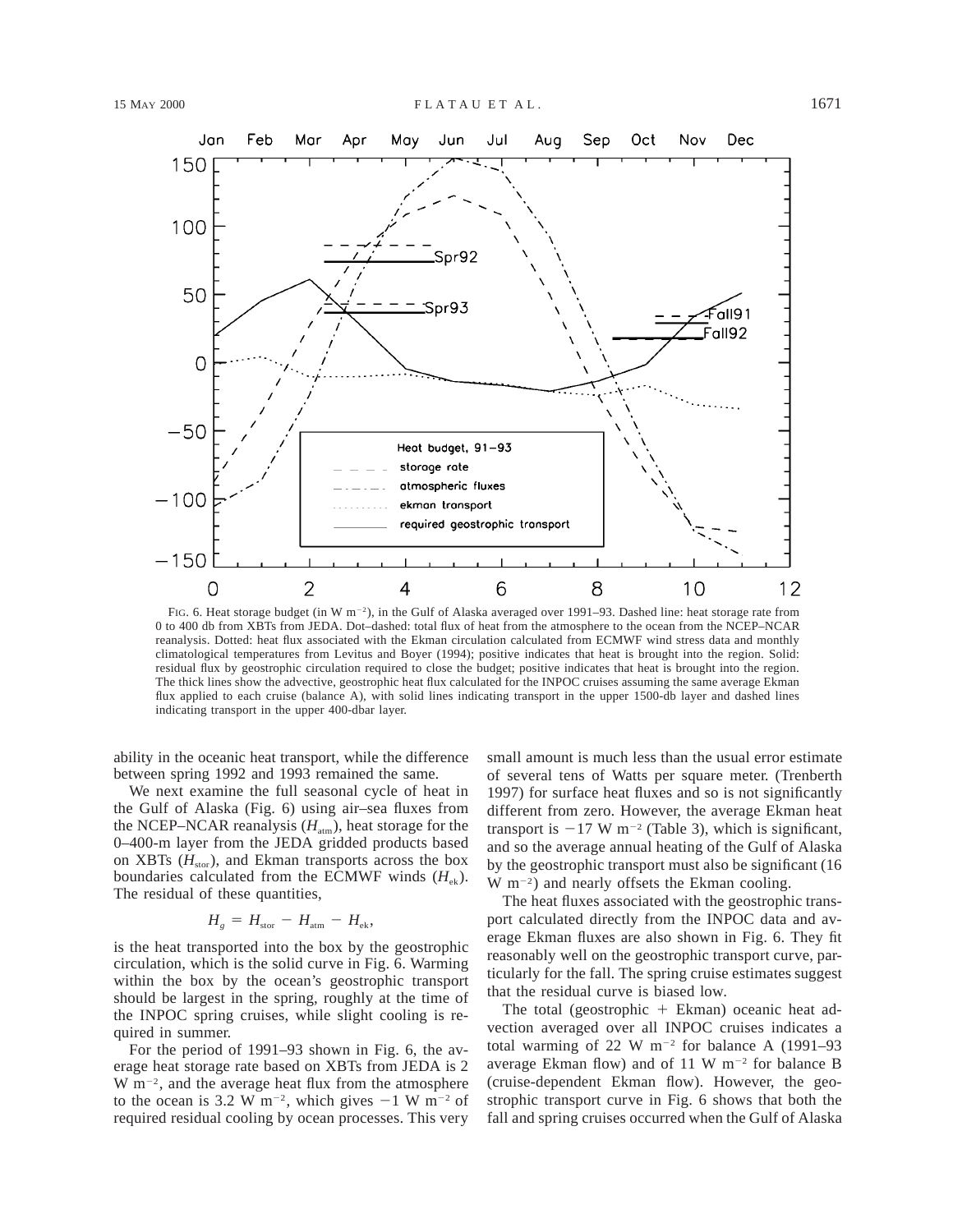

FIG. 6. Heat storage budget (in W  $m^{-2}$ ), in the Gulf of Alaska averaged over 1991–93. Dashed line: heat storage rate from 0 to 400 db from XBTs from JEDA. Dot–dashed: total flux of heat from the atmosphere to the ocean from the NCEP–NCAR reanalysis. Dotted: heat flux associated with the Ekman circulation calculated from ECMWF wind stress data and monthly climatological temperatures from Levitus and Boyer (1994); positive indicates that heat is brought into the region. Solid: residual flux by geostrophic circulation required to close the budget; positive indicates that heat is brought into the region. The thick lines show the advective, geostrophic heat flux calculated for the INPOC cruises assuming the same average Ekman flux applied to each cruise (balance A), with solid lines indicating transport in the upper 1500-db layer and dashed lines indicating transport in the upper 400-dbar layer.

ability in the oceanic heat transport, while the difference between spring 1992 and 1993 remained the same.

We next examine the full seasonal cycle of heat in the Gulf of Alaska (Fig. 6) using air–sea fluxes from the NCEP–NCAR reanalysis  $(H_{\text{atm}})$ , heat storage for the 0–400-m layer from the JEDA gridded products based on XBTs  $(H<sub>stor</sub>)$ , and Ekman transports across the box boundaries calculated from the ECMWF winds  $(H_{ek})$ . The residual of these quantities,

$$
H_{g} = H_{\text{stor}} - H_{\text{atm}} - H_{\text{ek}},
$$

is the heat transported into the box by the geostrophic circulation, which is the solid curve in Fig. 6. Warming within the box by the ocean's geostrophic transport should be largest in the spring, roughly at the time of the INPOC spring cruises, while slight cooling is required in summer.

For the period of 1991–93 shown in Fig. 6, the average heat storage rate based on XBTs from JEDA is 2  $W$  m<sup>-2</sup>, and the average heat flux from the atmosphere to the ocean is 3.2 W m<sup>-2</sup>, which gives  $-1$  W m<sup>-2</sup> of required residual cooling by ocean processes. This very

small amount is much less than the usual error estimate of several tens of Watts per square meter. (Trenberth 1997) for surface heat fluxes and so is not significantly different from zero. However, the average Ekman heat transport is  $-17$  W m<sup>-2</sup> (Table 3), which is significant, and so the average annual heating of the Gulf of Alaska by the geostrophic transport must also be significant (16  $W$  m<sup>-2</sup>) and nearly offsets the Ekman cooling.

The heat fluxes associated with the geostrophic transport calculated directly from the INPOC data and average Ekman fluxes are also shown in Fig. 6. They fit reasonably well on the geostrophic transport curve, particularly for the fall. The spring cruise estimates suggest that the residual curve is biased low.

The total (geostrophic  $+$  Ekman) oceanic heat advection averaged over all INPOC cruises indicates a total warming of 22 W  $m^{-2}$  for balance A (1991–93) average Ekman flow) and of 11 W  $m^{-2}$  for balance B (cruise-dependent Ekman flow). However, the geostrophic transport curve in Fig. 6 shows that both the fall and spring cruises occurred when the Gulf of Alaska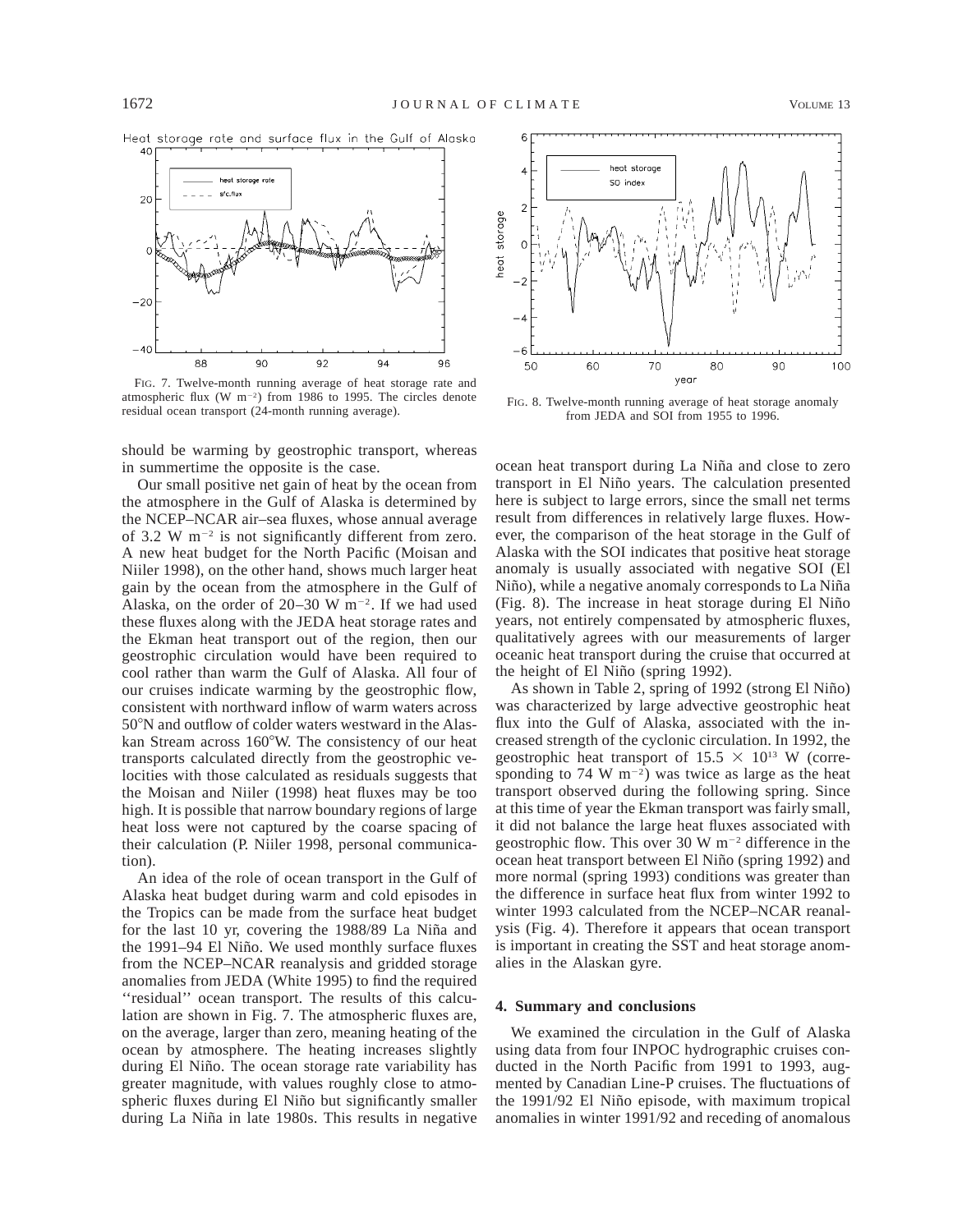



FIG. 7. Twelve-month running average of heat storage rate and atmospheric flux (W m<sup>-2</sup>) from 1986 to 1995. The circles denote residual ocean transport (24-month running average).

should be warming by geostrophic transport, whereas in summertime the opposite is the case.

Our small positive net gain of heat by the ocean from the atmosphere in the Gulf of Alaska is determined by the NCEP–NCAR air–sea fluxes, whose annual average of 3.2 W  $m^{-2}$  is not significantly different from zero. A new heat budget for the North Pacific (Moisan and Niiler 1998), on the other hand, shows much larger heat gain by the ocean from the atmosphere in the Gulf of Alaska, on the order of  $20-30$  W m<sup>-2</sup>. If we had used these fluxes along with the JEDA heat storage rates and the Ekman heat transport out of the region, then our geostrophic circulation would have been required to cool rather than warm the Gulf of Alaska. All four of our cruises indicate warming by the geostrophic flow, consistent with northward inflow of warm waters across 508N and outflow of colder waters westward in the Alaskan Stream across 160°W. The consistency of our heat transports calculated directly from the geostrophic velocities with those calculated as residuals suggests that the Moisan and Niiler (1998) heat fluxes may be too high. It is possible that narrow boundary regions of large heat loss were not captured by the coarse spacing of their calculation (P. Niiler 1998, personal communication).

An idea of the role of ocean transport in the Gulf of Alaska heat budget during warm and cold episodes in the Tropics can be made from the surface heat budget for the last 10 yr, covering the 1988/89 La Niña and the 1991–94 El Niño. We used monthly surface fluxes from the NCEP–NCAR reanalysis and gridded storage anomalies from JEDA (White 1995) to find the required "residual" ocean transport. The results of this calculation are shown in Fig. 7. The atmospheric fluxes are, on the average, larger than zero, meaning heating of the ocean by atmosphere. The heating increases slightly during El Niño. The ocean storage rate variability has greater magnitude, with values roughly close to atmospheric fluxes during El Niño but significantly smaller during La Niña in late 1980s. This results in negative



FIG. 8. Twelve-month running average of heat storage anomaly from JEDA and SOI from 1955 to 1996.

ocean heat transport during La Niña and close to zero transport in El Niño years. The calculation presented here is subject to large errors, since the small net terms result from differences in relatively large fluxes. However, the comparison of the heat storage in the Gulf of Alaska with the SOI indicates that positive heat storage anomaly is usually associated with negative SOI (El Niño), while a negative anomaly corresponds to La Niña (Fig. 8). The increase in heat storage during El Nin˜o years, not entirely compensated by atmospheric fluxes, qualitatively agrees with our measurements of larger oceanic heat transport during the cruise that occurred at the height of El Niño (spring 1992).

As shown in Table 2, spring of 1992 (strong El Niño) was characterized by large advective geostrophic heat flux into the Gulf of Alaska, associated with the increased strength of the cyclonic circulation. In 1992, the geostrophic heat transport of  $15.5 \times 10^{13}$  W (corresponding to 74 W  $m^{-2}$ ) was twice as large as the heat transport observed during the following spring. Since at this time of year the Ekman transport was fairly small, it did not balance the large heat fluxes associated with geostrophic flow. This over 30 W  $m^{-2}$  difference in the ocean heat transport between El Niño (spring 1992) and more normal (spring 1993) conditions was greater than the difference in surface heat flux from winter 1992 to winter 1993 calculated from the NCEP–NCAR reanalysis (Fig. 4). Therefore it appears that ocean transport is important in creating the SST and heat storage anomalies in the Alaskan gyre.

#### **4. Summary and conclusions**

We examined the circulation in the Gulf of Alaska using data from four INPOC hydrographic cruises conducted in the North Pacific from 1991 to 1993, augmented by Canadian Line-P cruises. The fluctuations of the 1991/92 El Niño episode, with maximum tropical anomalies in winter 1991/92 and receding of anomalous